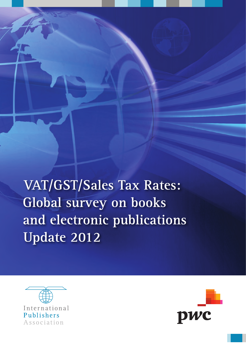**VAT/GST/Sales Tax Rates: Global survey on books** and electronic publications **Update 2012** 



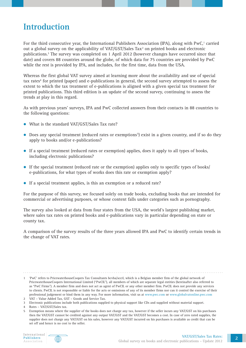## **Introduction**

For the third consecutive year, the International Publishers Association (IPA), along with PwC,<sup>1</sup> carried out a global survey on the applicability of VAT/GST/Sales Tax<sup>2</sup> on printed books and electronic publications.3 The survey was completed on 1 April 2012 (however changes have occurred since that date) and covers 88 countries around the globe, of which data for 75 countries are provided by PwC while the rest is provided by IPA, and includes, for the first time, data from the USA.

Whereas the first global VAT survey aimed at learning more about the availability and use of special tax rates<sup>4</sup> for printed (paper) and e-publications in general, the second survey attempted to assess the extent to which the tax treatment of e-publications is aligned with a given special tax treatment for printed publications. This third edition is an update of the second survey, continuing to assess the trends at play in this regard.

As with previous years' surveys, IPA and PwC collected answers from their contacts in 88 countries to the following questions:

- What is the standard VAT/GST/Sales Tax rate?
- Does any special treatment (reduced rates or exemptions<sup>5</sup>) exist in a given country, and if so do they apply to books and/or e‑publications?
- If a special treatment (reduced rates or exemption) applies, does it apply to all types of books, including electronic publications?
- $\bullet$  If the special treatment (reduced rate or the exemption) applies only to specific types of books/ e-publications, for what types of works does this rate or exemption apply?
- If a special treatment applies, is this an exemption or a reduced rate?

For the purpose of this survey, we focused solely on trade books, excluding books that are intended for commercial or advertising purposes, or whose content falls under categories such as pornography.

The survey also looked at data from four states from the USA, the world's largest publishing market, where sales tax rates on printed books and e-publications vary in particular depending on state or county tax.

A comparison of the survey results of the three years allowed IPA and PwC to identify certain trends in the change of VAT rates.



<sup>1</sup> 'PwC' refers to PricewaterhouseCoopers Tax Consultants bcvba/sccrl, which is a Belgian member firm of the global network of PricewaterhouseCoopers International Limited ("PwCIL"), all members of which are separate legal entities (hereinafter also referred to as "PwC Firms"). A member firm and does not act as agent of PwCIL or any other member firm. PwCIL does not provide any services to clients. PwCIL is not responsible or liable for the acts or omissions of any of its member firms nor can it control the exercise of their professional judgement or bind them in any way. For more information, visit us at www.pwc.com or www.globalvatonline.pwc.com

<sup>2</sup> VAT – Value Added Tax, GST – Goods and Service Tax.

<sup>3</sup> Electronic publications include both publications supplied to physical support like CDs and supplied without material support.

<sup>4</sup> Rates – VAT/GST/Sales tax.

<sup>5</sup> Exemption means where the supplier of the books does not charge any tax, however if the seller incurs any VAT/GST on his purchases then the VAT/GST cannot be credited against any output VAT/GST and the VAT/GST becomes a cost. In case of zero rated supplies, the supplier does not charge any VAT/GST on his sales, however any VAT/GST incurred on his purchases is available as credit that can be set off and hence is no cost to the seller.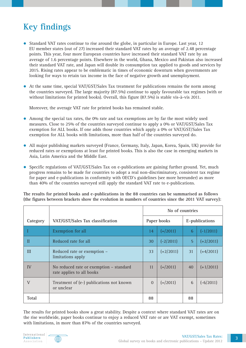# **Key findings**

- $\bullet$  Standard VAT rates continue to rise around the globe, in particular in Europe. Last year, 12 EU member states (out of 27) increased their standard VAT rates by an average of 2.48 percentage points. This year, four more European countries have increased their standard VAT rate by an average of 1.6 percentage points. Elsewhere in the world, Ghana, Mexico and Pakistan also increased their standard VAT rate, and Japan will double its consumption tax applied to goods and services by 2015. Rising rates appear to be emblematic in times of economic downturn when governments are looking for ways to retain tax income in the face of negative growth and unemployment.
- At the same time, special VAT/GST/Sales Tax treatment for publications remains the norm among the countries surveyed. The large majority (87.5%) continue to apply favourable tax regimes (with or without limitations for printed books). Overall, this figure (87.5%) is stable vis-à-vis 2011.

Moreover, the average VAT rate for printed books has remained stable.

- Among the special tax rates, the 0% rate and tax exemptions are by far the most widely used measures. Close to 25% of the countries surveyed continue to apply a 0% or VAT/GST/Sales Tax exemption for ALL books. If one adds those countries which apply a 0% or VAT/GST/Sales Tax exemption for ALL books with limitations, more than half of the countries surveyed do.
- All major publishing markets surveyed (France, Germany, Italy, Japan, Korea, Spain, UK) provide for reduced rates or exemptions at least for printed books. This is also the case in emerging markets in Asia, Latin America and the Middle East.
- Specific regulations of VAT/GST/Sales Tax on e-publications are gaining further ground. Yet, much progress remains to be made for countries to adopt a real non‑discriminatory, consistent tax regime for paper and e-publications in conformity with OECD's guidelines (see more hereunder) as more than 40% of the countries surveyed still apply the standard VAT rate to e-publications.

**The results for printed books and e‑publications in the 88 countries can be summarised as follows (the figures between brackets show the evolution in numbers of countries since the 2011 VAT survey):**

|              |                                                                      | No of countries |                    |                |             |  |
|--------------|----------------------------------------------------------------------|-----------------|--------------------|----------------|-------------|--|
| Category     | VAT/GST/Sales Tax classification                                     |                 | Paper books        | E-publications |             |  |
|              | Exemption for all                                                    | 14              | $=$ (2011)         | 6              | $(-1/2011)$ |  |
| П            | Reduced rate for all                                                 | 30              | $(-2/2011)$        | 5              | $(+2/2011)$ |  |
| III          | Reduced rate or exemption -<br>limitations apply                     | 33              | $(+2/2011)$        | 31             | $(+4/2011)$ |  |
| IV           | No reduced rate or exemption - standard<br>rate applies to all books | 11              | $(=\frac{2011}{ }$ | 40             | $(+1/2011)$ |  |
| $\mathbf V$  | Treatment of (e-) publications not known<br>or unclear               | $\Omega$        | $(=\frac{2011}{ }$ | 6              | $(-6/2011)$ |  |
| <b>Total</b> |                                                                      | 88              |                    | 88             |             |  |

The results for printed books show a great stability. Despite a context where standard VAT rates are on the rise worldwide, paper books continue to enjoy a reduced VAT rate or are VAT exempt, sometimes with limitations, in more than 87% of the countries surveyed.

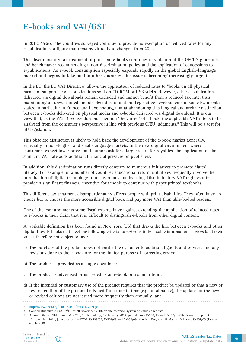# **E‑books and VAT/GST**

In 2012, 45% of the countries surveyed continue to provide no exemption or reduced rates for any e‑publications, a figure that remains virtually unchanged from 2011.

This discriminatory tax treatment of print and e‑books continues in violation of the OECD's guidelines and benchmarks<sup>6</sup> recommending a non-discrimination policy and the application of concessions to e‑publications. **As e‑book consumption especially expands rapidly in the global English‑language market and begins to take hold in other countries, this issue is becoming increasingly urgent.**

In the EU, the EU VAT Directive<sup>7</sup> allows the application of reduced rates to "books on all physical means of support", e.g. e-publications sold on CD–ROM or USB sticks. However, other e-publications delivered via digital downloads remain excluded and cannot benefit from a reduced tax rate, thus maintaining an unwarranted and obsolete discrimination. Legislative developments in some EU member states, in particular in France and Luxembourg, aim at abandoning this illogical and archaic distinction between e‑books delivered on physical media and e‑books delivered via digital download. It is our view that, as the VAT Directive does not mention 'the carrier' of a book, the applicable VAT rate is to be analysed from the consumer's perspective in line with previous CJEU judgments.<sup>8</sup> This will be a test for EU legislation.

This obsolete distinction is likely to hold back the development of the e-book market generally, especially in non–English and small–language markets. In the new digital environment where consumers expect lower prices, and authors ask for a larger share for royalties, the application of the standard VAT rate adds additional financial pressure on publishers.

In addition, this discrimination runs directly contrary to numerous initiatives to promote digital literacy. For example, in a number of countries educational reform initiatives frequently involve the introduction of digital technology into classrooms and learning. Discriminatory VAT regimes often provide a significant financial incentive for schools to continue with paper printed textbooks.

This different tax treatment disproportionately affects people with print disabilities. They often have no choice but to choose the more accessible digital book and pay more VAT than able‑bodied readers.

One of the core arguments some fiscal experts have against extending the application of reduced rates to e‑books is their claim that it is difficult to distinguish e‑books from other digital content.

A workable definition has been found in New York (US) that draws the line between e‑books and other digital files. E‑books that meet the following criteria do *not* constitute taxable information services (and their sale is therefore not subject to tax):

- a) The purchase of the product does not entitle the customer to additional goods and services and any revisions done to the e-book are for the limited purpose of correcting errors;
- b) The product is provided as a single download;
- c) The product is advertised or marketed as an e‑book or a similar term;
- d) If the intended or customary use of the product requires that the product be updated or that a new or revised edition of the product be issued from time to time (e.g. an almanac), the updates or the new or revised editions are not issued more frequently than annually; and



<sup>6</sup> http://www.oecd.org/dataoecd/16/36/36177871.pdf

<sup>7</sup> Council Directive 2006/112/EC of 28 November 2006 on the common system of value added tax.

<sup>8</sup> Among others: CJEU, case C-117/11 (Purple Parking) 19 January 2012; joined cases C-259/10 and C-260/10 (The Rank Group plc), 10 November 2011; joined cases C-497/09, C-499/09, C-501/09 and C-502/09 (Manfred Bog a.o.) 11 March 2011, case C-251/05 (Talacre), 6 July 2006.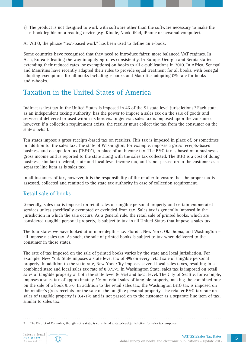e) The product is not designed to work with software other than the software necessary to make the e‑book legible on a reading device (e.g. Kindle, Nook, iPad, iPhone or personal computer).

At WIPO, the phrase "text-based work" has been used to define an e-book.

Some countries have recognised that they need to introduce fairer, more balanced VAT regimes. In Asia, Korea is leading the way in applying rates consistently. In Europe, Georgia and Serbia started extending their reduced rates (or exemptions) on books to all e‑publications in 2010. In Africa, Senegal and Mauritius have recently adapted their rules to provide equal treatment for all books, with Senegal adopting exemptions for all books including e‑books and Mauritius adopting 0% rate for books and e‑books.

### Taxation in the United States of America

Indirect (sales) tax in the United States is imposed in 46 of the 51 state level jurisdictions.<sup>9</sup> Each state, as an independent taxing authority, has the power to impose a sales tax on the sale of goods and services if delivered or used within its borders. In general, sales tax is imposed upon the consumer; however, if a collection requirement exists, the retailer must collect the tax from the consumer on the state's behalf.

Ten states impose a gross receipts‑based tax on retailers. This tax is imposed in place of, or sometimes in addition to, the sales tax. The state of Washington, for example, imposes a gross receipts-based business and occupation tax ("B&O"), in place of an income tax. The B&O tax is based on a business's gross income and is reported to the state along with the sales tax collected. The B&O is a cost of doing business, similar to federal, state and local level income tax, and is not passed on to the customer as a separate line item as is sales tax.

In all instances of tax, however, it is the responsibility of the retailer to ensure that the proper tax is assessed, collected and remitted to the state tax authority in case of collection requirement.

#### Retail sale of books

Generally, sales tax is imposed on retail sales of tangible personal property and certain enumerated services unless specifically exempted or excluded from tax. Sales tax is generally imposed in the jurisdiction in which the sale occurs. As a general rule, the retail sale of printed books, which are considered tangible personal property, is subject to tax in all United States that impose a sales tax.

The four states we have looked at in more depth – i.e. Florida, New York, Oklahoma, and Washington – all impose a sales tax. As such, the sale of printed books is subject to tax when delivered to the consumer in those states.

The rate of tax imposed on the sale of printed books varies by the state and local jurisdiction. For example, New York State imposes a state level tax of 4% on every retail sale of tangible personal property. In addition to the state rate, New York City imposes several local sales taxes, resulting in a combined state and local sales tax rate of 8.875%. In Washington State, sales tax is imposed on retail sales of tangible property at both the state level (6.5%) and local level. The City of Seattle, for example, imposes a sales tax of approximately 3% on retail sales of tangible property, making the combined rate on the sale of a book 9.5%. In addition to the retail sales tax, the Washington B&O tax is imposed on the retailer's gross receipts for the sale of the tangible personal property. The retailer B&O tax rate on sales of tangible property is 0.471% and is not passed on to the customer as a separate line item of tax, similar to sales tax.

The District of Columbia, though not a state, is considered a state-level jurisdiction for sales tax purposes.

International Publishers Association

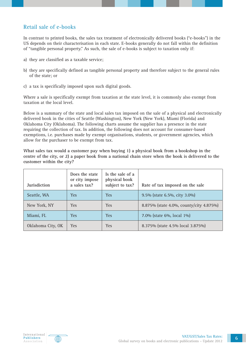#### Retail sale of e‑books

In contrast to printed books, the sales tax treatment of electronically delivered books ("e-books") in the US depends on their characterisation in each state. E‑books generally do not fall within the definition of "tangible personal property." As such, the sale of e‑books is subject to taxation only if:

- a) they are classified as a taxable service;
- b) they are specifically defined as tangible personal property and therefore subject to the general rules of the state; or
- c) a tax is specifically imposed upon such digital goods.

Where a sale is specifically exempt from taxation at the state level, it is commonly also exempt from taxation at the local level.

Below is a summary of the state and local sales tax imposed on the sale of a physical and electronically delivered book in the cities of Seattle (Washington), New York (New York), Miami (Florida) and Oklahoma City (Oklahoma). The following charts assume the supplier has a presence in the state requiring the collection of tax. In addition, the following does not account for consumer-based exemptions, i.e. purchases made by exempt organisations, students, or government agencies, which allow for the purchaser to be exempt from tax.

**What sales tax would a customer pay when buying 1) a physical book from a bookshop in the centre of the city, or 2) a paper book from a national chain store when the book is delivered to the customer within the city?**

| <b>Jurisdiction</b> | Does the state<br>or city impose<br>a sales tax? | Is the sale of a<br>physical book<br>subject to tax? | Rate of tax imposed on the sale         |
|---------------------|--------------------------------------------------|------------------------------------------------------|-----------------------------------------|
| Seattle, WA         | <b>Yes</b>                                       | <b>Yes</b>                                           | 9.5% (state 6.5%, city 3.0%)            |
| New York, NY        | <b>Yes</b>                                       | <b>Yes</b>                                           | 8.875% (state 4.0%, county/city 4.875%) |
| Miami, FL           | <b>Yes</b>                                       | <b>Yes</b>                                           | 7.0% (state 6%, local 1%)               |
| Oklahoma City, OK   | Yes                                              | <b>Yes</b>                                           | 8.375% (state 4.5% local 3.875%)        |

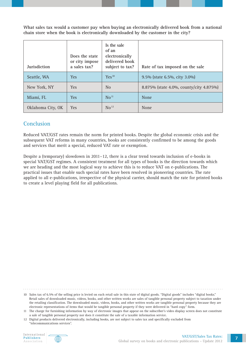**What sales tax would a customer pay when buying an electronically delivered book from a national chain store when the book is electronically downloaded by the customer in the city?** 

| Jurisdiction      | Does the state<br>or city impose<br>a sales tax? | Is the sale<br>of an<br>electronically<br>delivered book<br>subject to tax? | Rate of tax imposed on the sale         |
|-------------------|--------------------------------------------------|-----------------------------------------------------------------------------|-----------------------------------------|
| Seattle, WA       | <b>Yes</b>                                       | Yes <sup>10</sup>                                                           | 9.5% (state 6.5%, city 3.0%)            |
| New York, NY      | <b>Yes</b>                                       | N <sub>0</sub>                                                              | 8.875% (state 4.0%, county/city 4.875%) |
| Miami, FL         | <b>Yes</b>                                       | No <sup>11</sup>                                                            | None                                    |
| Oklahoma City, OK | <b>Yes</b>                                       | No <sup>12</sup>                                                            | None                                    |

#### Conclusion

Reduced VAT/GST rates remain the norm for printed books. Despite the global economic crisis and the subsequent VAT reforms in many countries, books are consistently confirmed to be among the goods and services that merit a special, reduced VAT rate or exemption.

Despite a (temporary) slowdown in 2011–12, there is a clear trend towards inclusion of e-books in special VAT/GST regimes. A consistent treatment for all types of books is the direction towards which we are heading and the most logical way to achieve this is to reduce VAT on e‑publications. The practical issues that enable such special rates have been resolved in pioneering countries. The rate applied to all e‑publications, irrespective of the physical carrier, should match the rate for printed books to create a level playing field for all publications.

10 Sales tax of 6.5% of the selling price is levied on each retail sale in this state of digital goods. "Digital goods" includes "digital books."

Retail sales of downloaded music, videos, books, and other written works are sales of tangible personal property subject to taxation under the retailing classification. The downloaded music, videos, books, and other written works are tangible personal property because they are electronic representations of items that would be tangible personal property if they were delivered in "hard copy" form.



<sup>11</sup> The charge for furnishing information by way of electronic images that appear on the subscriber's video display screen does not constitute a sale of tangible personal property nor does it constitute the sale of a taxable information service.

<sup>12</sup> Digital products delivered electronically, including books, are not subject to sales tax and specifically excluded from "telecommunications services".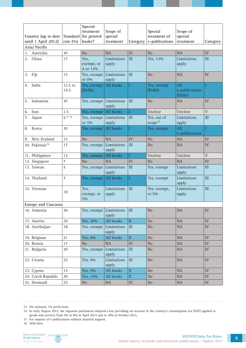|                                      |                  | Special<br>treatment             | Scope of             |            | Special                            | Scope of                         |                |
|--------------------------------------|------------------|----------------------------------|----------------------|------------|------------------------------------|----------------------------------|----------------|
| Country (up to date                  | Standard         | for printed                      | special              |            | treatment of                       | special                          |                |
| until 1 April 2012)<br>Asia/ Pacific | rate $(0/0)$     | books?                           | treatment            | Category   | e-publications                     | treatment                        | Category       |
|                                      |                  | N <sub>o</sub>                   | <b>NA</b>            | IV         | N <sub>o</sub>                     | <b>NA</b>                        | IV             |
| Australia<br>1.<br>China             | $10$<br>17       |                                  |                      |            |                                    |                                  | III            |
| 2.                                   |                  | Yes,<br>exempt, or<br>4 or 13%   | Limitations<br>apply | III        | Yes, 13%                           | Limitations<br>apply             |                |
| Fiji<br>3.                           | 15               | Yes, exempt<br>or 0%             | Limitations<br>apply | III        | N <sub>o</sub>                     | <b>NA</b>                        | IV             |
| India<br>4.                          | 12.5 to<br>14.5  | Yes, exempt<br>(Delhi)           | All books            | Ι          | Yes, exempt<br>(Delhi)             | All<br>e-publications<br>(Delhi) |                |
| Indonesia<br>5.                      | 10               | Yes, exempt Limitations          | apply                | III        | N <sub>o</sub>                     | <b>NA</b>                        | IV             |
| 6.<br>Iran                           | 1.5              | Yes, exempt                      | All books            | L          | Unclear                            | Unclear                          | $\mathbf V$    |
| 7.<br>Japan                          | $5^{13}14$       | Yes, exempt Limitations<br>or 5% | apply                | III        | Yes, out of<br>scope <sup>15</sup> | Limitations<br>apply             | III            |
| Korea<br>8.                          | 10               | Yes, exempt                      | All books            |            | Yes, exempt                        | All<br>e-publications            |                |
| New Zealand<br>9.                    | 15               | N <sub>o</sub>                   | <b>NA</b>            | <b>IV</b>  | N <sub>o</sub>                     | <b>NA</b>                        | ${\rm IV}$     |
| 10. Pakistan <sup>16</sup>           | 17               | Yes, exempt Limitations          | apply                | III        | N <sub>o</sub>                     | <b>NA</b>                        | IV             |
| 11. Philippines                      | 12               | Yes, exempt                      | All books            |            | Unclear                            | Unclear                          | $\overline{V}$ |
| 12. Singapore                        | $\boldsymbol{7}$ | N <sub>o</sub>                   | <b>NA</b>            | ${\rm IV}$ | No                                 | <b>NA</b>                        | ${\rm IV}$     |
| 13. Taiwan                           | 5                | Yes, exempt Limitations          | apply                | III        | Yes, exempt                        | Limitations<br>apply             | III            |
| 14. Thailand                         | $\overline{7}$   | Yes, exempt                      | All books            | Ι          | Yes, exempt                        | Limitations<br>apply             | III            |
| 15. Vietnam                          | 10               | Yes,<br>exempt, or<br>$5\%$      | Limitations<br>apply | III        | Yes, exempt,<br>or 5%              | Limitations<br>apply             | III            |
| <b>Europe and Caucasus</b>           |                  |                                  |                      |            |                                    |                                  |                |
| 16. Armenia                          | 20               | Yes, exempt Limitations          | apply                | III        | No                                 | NA                               | ${\rm IV}$     |
| 17. Austria                          | 20               | Yes, 10%                         | All books            | $\rm II$   | No                                 | NA                               | ${\rm IV}$     |
| 18. Azerbaijan                       | 18               | Yes, exempt                      | Limitations<br>apply | III        | No                                 | NA                               | IV             |
| 19. Belgium                          | 21               | Yes, 6%                          | All books            | $\rm II$   | No                                 | NA                               | ${\rm IV}$     |
| 20. Bosnia                           | 17               | N <sub>o</sub>                   | NA                   | ${\rm IV}$ | No                                 | <b>NA</b>                        | IV             |
| 21. Bulgaria                         | 20               | Yes, exempt                      | Limitations<br>apply | III        | No                                 | NA                               | IV             |
| 22. Croatia                          | 25               | Yes, 0%                          | Limitations<br>apply | III        | No                                 | NA                               | ${\rm IV}$     |
| 23. Cyprus                           | 15               | Yes, 5%                          | All books            | $\rm II$   | No                                 | NA                               | IV             |
| 24. Czech Republic                   | 20               | Yes, 14%                         | All books            | $\rm II$   | No                                 | <b>NA</b>                        | ${\rm IV}$     |
| 25. Denmark                          | 25               | No                               | <b>NA</b>            | ${\rm IV}$ | No                                 | NA                               | ${\rm IV}$     |

13 4% national, 1% prefectural.

14 In early August 2012, the Japanese parliament adopted a law providing an increase in the country's consumption tax (VAT) applied to goods and services from 5% to 8% in April 2014 and to 10% in October 2015.

. . . . . . . . . . . . . . .

15 For imports of e-publications without material support.

16 2010 data.

 $\sim$ 



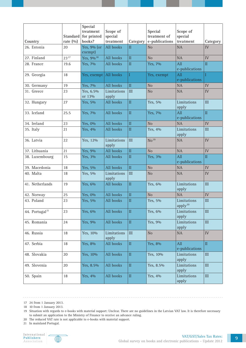|                            | <b>Standard</b> | Special<br>treatment<br>for printed | Scope of<br>special  |                         | Special<br>treatment of | Scope of<br>special                |                             |
|----------------------------|-----------------|-------------------------------------|----------------------|-------------------------|-------------------------|------------------------------------|-----------------------------|
| Country                    | rate $(%)$      | books?                              | treatment            | Category                | e-publications          | treatment                          | Category                    |
| 26. Estonia                | 20              | Yes, 9% (or<br>exempt)              | All books            | $\rm II$                | No                      | NA                                 | IV                          |
| 27. Finland                | $23^{17}$       | Yes, 9% <sup>18</sup>               | All books            | $\overline{\mathbf{u}}$ | N <sub>o</sub>          | <b>NA</b>                          | ${\rm IV}$                  |
| 28. France                 | 19.6            | Yes, 7%                             | All books            | $\rm II$                | Yes, 7%                 | All<br>e-publications              | $\overline{\mathbf{H}}$     |
| 29. Georgia                | 18              | Yes, exempt                         | All books            |                         | Yes, exempt             | All<br>e-publications              |                             |
| 30. Germany                | 19              | Yes, 7%                             | All books            | $\rm II$                | No                      | <b>NA</b>                          | IV                          |
| 31. Greece                 | 23              | Yes, 6.5%<br>or 13%                 | Limitations<br>apply | III                     | N <sub>o</sub>          | <b>NA</b>                          | IV                          |
| 32. Hungary                | 27              | Yes, 5%                             | All books            | $\overline{\mathbf{u}}$ | Yes, 5%                 | Limitations<br>apply               | III                         |
| 33. Iceland                | 25.5            | Yes, 7%                             | All books            | $\rm II$                | Yes, 7%                 | All<br>e-publications              | $\overline{\rm II}$         |
| 34. Ireland                | 23              | Yes, 0%                             | All books            | $\overline{\mathbf{H}}$ | N <sub>o</sub>          | <b>NA</b>                          | IV                          |
| 35. Italy                  | 21              | Yes, 4%                             | All books            | $\rm II$                | Yes, 4%                 | Limitations<br>apply               | III                         |
| 36. Latvia                 | 22              | Yes, 12%                            | Limitations<br>apply | III                     | No <sup>19</sup>        | <b>NA</b>                          | IV                          |
| 37. Lithuania              | 21              | Yes, 9%                             | All books            | $\overline{\mathbf{H}}$ | N <sub>o</sub>          | <b>NA</b>                          | IV                          |
| 38. Luxembourg             | 15              | Yes, 3%                             | All books            | $\rm II$                | Yes, 3%                 | All<br>e-publications              | $\mathbf{I}$                |
| 39. Macedonia              | 18              | Yes, 5%                             | All books            | $\overline{\rm II}$     | No                      | <b>NA</b>                          | IV                          |
| 40. Malta                  | 18              | Yes, 5%                             | Limitations<br>apply | III                     | N <sub>o</sub>          | <b>NA</b>                          | IV                          |
| 41. Netherlands            | 19              | Yes, 6%                             | All books            | $\rm II$                | Yes, 6%                 | Limitations<br>apply               | $III$                       |
| 42. Norway                 | 25              | Yes, 0%                             | All books            | $\rm II$                | N <sub>o</sub>          | <b>NA</b>                          | IV                          |
| 43. Poland                 | 23              | Yes, 5%                             | All books            | $\rm II$                | Yes, 5%                 | Limitations<br>apply <sup>20</sup> | III                         |
| 44. Portugal <sup>21</sup> | 23              | Yes, 6%                             | All books            | $\rm II$                | Yes, 6%                 | Limitations<br>apply               | $\rm III$                   |
| 45. Romania                | 24              | Yes, 9%                             | All books            | $\rm II$                | Yes, 9%                 | Limitations<br>apply               | III                         |
| 46. Russia                 | 18              | Yes, 10%                            | Limitations<br>apply | III                     | No                      | $\rm NA$                           | ${\rm IV}$                  |
| 47. Serbia                 | 18              | Yes, 8%                             | All books            | $\rm II$                | Yes, 8%                 | All<br>e-publications              | $\rm II$                    |
| 48. Slovakia               | 20              | Yes, 10%                            | All books            | $\rm II$                | Yes, 10%                | Limitations<br>apply               | $\mathop{\rm III}\nolimits$ |
| 49. Slovenia               | 20              | Yes, 8.5%                           | All books            | $\rm II$                | Yes, 8.5%               | Limitations<br>apply               | $\rm III$                   |
| 50. Spain                  | $18\,$          | Yes, 4%                             | All books            | $\rm II$                | Yes, 4%                 | Limitations<br>apply               | $\rm III$                   |

17 24 from 1 January 2013.

. . . . . . . . . . . . . . . . .

18 10 from 1 January 2013.

19 Situation with regards to e-books with material support: Unclear. There are no guidelines in the Latvian VAT law. It is therefore necessary to submit an application to the Ministry of Finance to receive an advance ruling.

20 The reduced VAT rate is not applicable to e-books with material support.

21 In mainland Portugal.

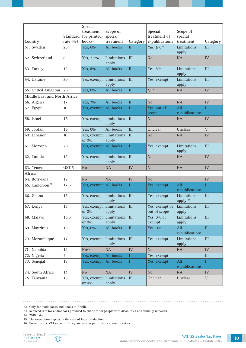|                              |                  | Special                          |                      |                             |                                |                                    |             |
|------------------------------|------------------|----------------------------------|----------------------|-----------------------------|--------------------------------|------------------------------------|-------------|
|                              | <b>Standard</b>  | treatment<br>for printed         | Scope of<br>special  |                             | Special<br>treatment of        | Scope of<br>special                |             |
| Country                      | rate $(%)$       | books?                           | treatment            | Category                    | e-publications                 | treatment                          | Category    |
| 51. Sweden                   | 25               | Yes, 6%                          | All books            | $\mathbf{I}$                | Yes, 6% <sup>22</sup>          | Limitations<br>apply               | III         |
| 52. Switzerland              | $\, 8$           | Yes, 2.5%                        | Limitations<br>apply | III                         | N <sub>o</sub>                 | NA                                 | ${\rm IV}$  |
| 53. Turkey                   | 18               | Yes, 8%                          | All books            | $\mathop{\rm II}\nolimits$  | Yes, 8%                        | Limitations<br>apply               | III         |
| 54. Ukraine                  | 20               | Yes, exempt Limitations          | apply                | III                         | Yes, exempt                    | Limitations<br>apply               | III         |
| 55. United Kingdom           | 20               | Yes, 0%                          | All books            | $\rm II$                    | No <sup>23</sup>               | <b>NA</b>                          | ${\rm IV}$  |
| Middle East and North Africa |                  |                                  |                      |                             |                                |                                    |             |
| 56. Algeria                  | 17               | Yes, 7%                          | All books            | $\rm II$                    | N <sub>o</sub>                 | NA                                 | ${\rm IV}$  |
| 57. Egypt                    | 10               | Yes, exempt All books            |                      |                             | Yes, out of<br>scope           | All<br>e-publications              | T           |
| 58. Israel                   | 16               | Yes, exempt Limitations          | apply                | III                         | N <sub>o</sub>                 | <b>NA</b>                          | <b>IV</b>   |
| 59. Jordan                   | 16               | Yes, 0%                          | All books            | III                         | Unclear                        | Unclear                            | $\mathbf V$ |
| 60. Lebanon                  | 10               | Yes, exempt<br>or 0%             | Limitations<br>apply | III                         | N <sub>o</sub>                 | <b>NA</b>                          | IV          |
| 61. Morocco                  | 20               | Yes, exempt All books            |                      |                             | Yes, exempt                    | Limitations<br>apply               | III         |
| 62. Tunisia                  | 18               | Yes, exempt Limitations          | apply                | III                         | N <sub>o</sub>                 | <b>NA</b>                          | <b>IV</b>   |
| 63. Yemen                    | GST <sub>5</sub> | N <sub>o</sub>                   | <b>NA</b>            | IV                          | N <sub>o</sub>                 | <b>NA</b>                          | IV          |
| Africa                       |                  |                                  |                      |                             |                                |                                    |             |
| 64. Botswana                 | 12               | N <sub>o</sub>                   | <b>NA</b>            | IV                          | N <sub>o</sub>                 |                                    | IV          |
| 65. Cameroon <sup>24</sup>   | 17.5             | Yes, exempt All books            |                      |                             | Yes, exempt                    | All<br>e-publications              | T           |
| 66. Ghana                    | 15               | Yes, exempt Limitations          | apply                | III                         | Yes, exempt                    | Limitations<br>apply <sup>25</sup> | $\rm III$   |
| 67. Kenya                    | 16               | Yes, exempt Limitations<br>or 0% | apply                | $\mathop{\rm III}\nolimits$ | Yes, exempt or<br>out of scope | Limitations<br>apply               | $\rm III$   |
| 68. Malawi                   | 16.5             | Yes, exempt<br>or 0%             | Limitations<br>apply | $\rm III$                   | Yes, 0% or<br>exempt           | Limitations<br>apply               | $\rm III$   |
| 69. Mauritius                | 15               | Yes, 0%                          | All books            | $\rm II$                    | Yes, 0%                        | All<br>e-publications              | $\rm II$    |
| 70. Mozambique               | 17               | Yes, exempt                      | Limitations<br>apply | III                         | Yes, exempt                    | Limitations<br>apply               | $\rm III$   |
| 71. Namibia                  | 15               | No <sup>26</sup>                 | NA                   | ${\rm IV}$                  | No                             | $\rm NA$                           | IV          |
| 72. Nigeria                  | 5                | Yes, exempt                      | All books            |                             | Yes, exempt                    |                                    | $\rm III$   |
| 73. Senegal                  | 18               | Yes, exempt                      | All books            | Ι                           | Yes, exempt                    | All<br>e-publications              | I           |
| 74. South Africa             | 14               | N <sub>o</sub>                   | NA                   | ${\rm IV}$                  | No                             | <b>NA</b>                          | IV          |
| 75. Tanzania                 | 18               | Yes, exempt<br>or $0\%$          | Limitations<br>apply | $\rm III$                   | Unclear                        | Unclear                            | $\mathbf V$ |

22 Only for audiobooks and books in Braille.

23 Reduced rate for audiobooks provided to charities for people with disabilities and visually impaired.

24 2010 data.

25 The exemption applies in the case of local production.

26 Books can be VAT exempt if they are sold as part of educational services.

International<br>Publishers Association

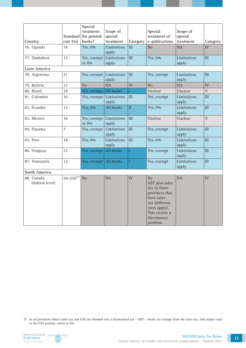| Country                       | Standard<br>rate $(0/0)$ | Special<br>treatment<br>for printed<br>books? | Scope of<br>special<br>treatment | Category            | Special<br>treatment of<br>e-publications                                                                                                            | Scope of<br>special<br>treatment | Category       |
|-------------------------------|--------------------------|-----------------------------------------------|----------------------------------|---------------------|------------------------------------------------------------------------------------------------------------------------------------------------------|----------------------------------|----------------|
| 76. Uganda                    | 18                       | Yes, 0%                                       | Limitations<br>apply             | $\mathbf{H}$        | N <sub>o</sub>                                                                                                                                       | <b>NA</b>                        | IV             |
| 77. Zimbabwe                  | 15                       | Yes, exempt<br>or 0%                          | Limitations<br>apply             | III                 | Yes, 0%                                                                                                                                              | Limitations<br>apply             | III            |
| Latin America                 |                          |                                               |                                  |                     |                                                                                                                                                      |                                  |                |
| 78. Argentina                 | 21                       | Yes, exempt                                   | Limitations<br>apply             | III                 | Yes, exempt                                                                                                                                          | Limitations<br>apply             | III            |
| 79. Bolivia                   | 13                       | N <sub>o</sub>                                | <b>NA</b>                        | IV                  | N <sub>o</sub>                                                                                                                                       | <b>NA</b>                        | IV             |
| 80. Brazil                    | 18                       | Yes, exempt                                   | All books                        |                     | Unclear                                                                                                                                              | Unclear                          | $\bar{V}$      |
| 81. Colombia                  | 16                       | Yes, exempt                                   | Limitations<br>apply             | III                 | Yes, exempt                                                                                                                                          | Limitations<br>apply             | III            |
| 82. Ecuador                   | 12                       | Yes, 0%                                       | All books                        | $\overline{\rm II}$ | Yes, 0%                                                                                                                                              | Limitations<br>apply             | III            |
| 83. Mexico                    | 16                       | Yes, exempt<br>or 0%                          | Limitations<br>apply             | III                 | Unclear                                                                                                                                              | Unclear                          | $\overline{V}$ |
| 84. Panama                    | $\overline{7}$           | Yes, exempt                                   | Limitations<br>apply             | III                 | Yes, exempt                                                                                                                                          | Limitations<br>apply             | III            |
| 85. Peru                      | 18                       | Yes, 0%                                       | Limitations<br>apply             | $\mathbf{H}$        | Yes, 0%                                                                                                                                              | Limitations<br>apply             | III            |
| 86. Uruguay                   | 22                       | Yes, exempt                                   | All books                        |                     | Yes, exempt                                                                                                                                          | Limitations<br>apply             | III            |
| 87. Venezuela                 | 12                       | Yes, exempt                                   | All books                        |                     | Yes, exempt                                                                                                                                          | Limitations<br>apply             | III            |
| North America                 |                          |                                               |                                  |                     |                                                                                                                                                      |                                  |                |
| 88. Canada<br>(federal level) | 5% GST <sup>27</sup>     | N <sub>o</sub>                                | <b>NA</b>                        | IV                  | No<br>GST plus sales<br>tax in those<br>provinces that<br>have sales<br>tax (different<br>rates apply).<br>This creates a<br>discrepancy<br>problem. | <b>NA</b>                        | IV             |

27 In all provinces where sales tax and GST are blended into a harmonised tax – HST – books are exempt from the sales tax, and subject only to the GST portion, which is 5%.

 $\sim$  . . . . . .



 $\frac{1}{2} \left( \frac{1}{2} \right) \left( \frac{1}{2} \right) \left( \frac{1}{2} \right) \left( \frac{1}{2} \right) \left( \frac{1}{2} \right)$